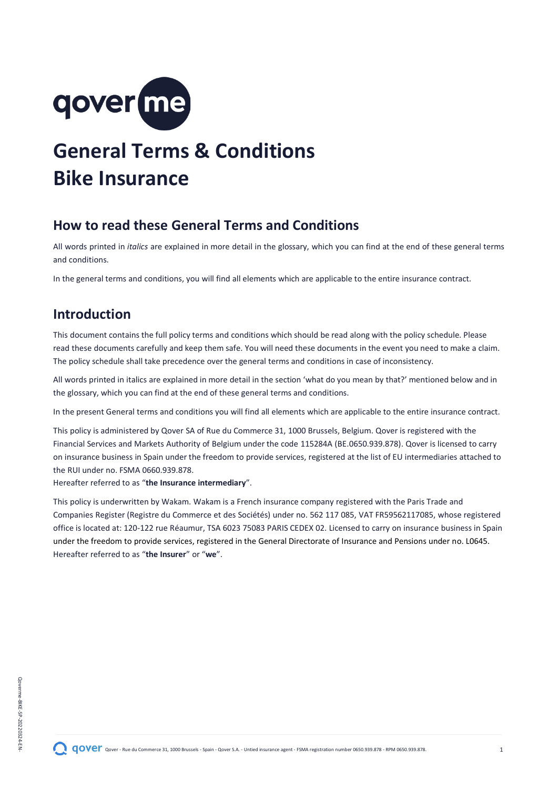

# **General Terms & Conditions Bike Insurance**

# <span id="page-0-0"></span>**How to read these General Terms and Conditions**

All words printed in *italics* are explained in more detail in the glossary, which you can find at the end of these general terms and conditions.

In the general terms and conditions, you will find all elements which are applicable to the entire insurance contract.

# **Introduction**

This document contains the full policy terms and conditions which should be read along with the policy schedule. Please read these documents carefully and keep them safe. You will need these documents in the event you need to make a claim. The policy schedule shall take precedence over the general terms and conditions in case of inconsistency.

All words printed in italics are explained in more detail in the section 'what do you mean by that?' mentioned below and in the glossary, which you can find at the end of these general terms and conditions.

In the present General terms and conditions you will find all elements which are applicable to the entire insurance contract.

This policy is administered by Qover SA of Rue du Commerce 31, 1000 Brussels, Belgium. Qover is registered with the Financial Services and Markets Authority of Belgium under the code 115284A (BE.0650.939.878). Qover is licensed to carry on insurance business in Spain under the freedom to provide services, registered at the list of EU intermediaries attached to the RUI under no. FSMA 0660.939.878.

Hereafter referred to as "**the Insurance intermediary**".

This policy is underwritten by Wakam. Wakam is a French insurance company registered with the Paris Trade and Companies Register (Registre du Commerce et des Sociétés) under no. 562 117 085, VAT FR59562117085, whose registered office is located at: 120-122 rue Réaumur, TSA 6023 75083 PARIS CEDEX 02. Licensed to carry on insurance business in Spain under the freedom to provide services, registered in the General Directorate of Insurance and Pensions under no. L0645. Hereafter referred to as "**the Insurer**" or "**we**".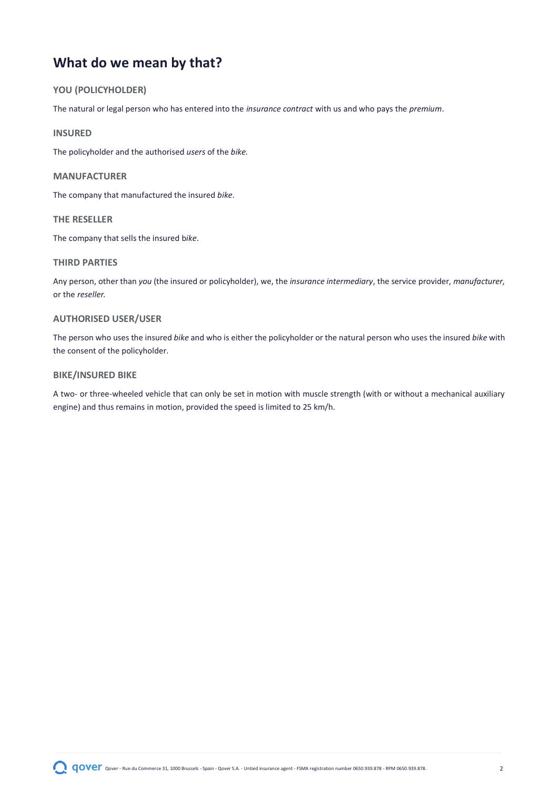# <span id="page-1-0"></span>**What do we mean by that?**

# **YOU (POLICYHOLDER)**

The natural or legal person who has entered into the *insurance contract* with us and who pays the *premium*.

### **INSURED**

The policyholder and the authorised *users* of the *bike.*

#### **MANUFACTURER**

The company that manufactured the insured *bike*.

### **THE RESELLER**

The company that sells the insured b*ike*.

# **THIRD PARTIES**

Any person, other than *you* (the insured or policyholder), we, the *insurance intermediary*, the service provider, *manufacturer,* or the *reseller.*

#### **AUTHORISED USER/USER**

The person who uses the insured *bike* and who is either the policyholder or the natural person who uses the insured *bike* with the consent of the policyholder.

### **BIKE/INSURED BIKE**

A two- or three-wheeled vehicle that can only be set in motion with muscle strength (with or without a mechanical auxiliary engine) and thus remains in motion, provided the speed is limited to 25 km/h.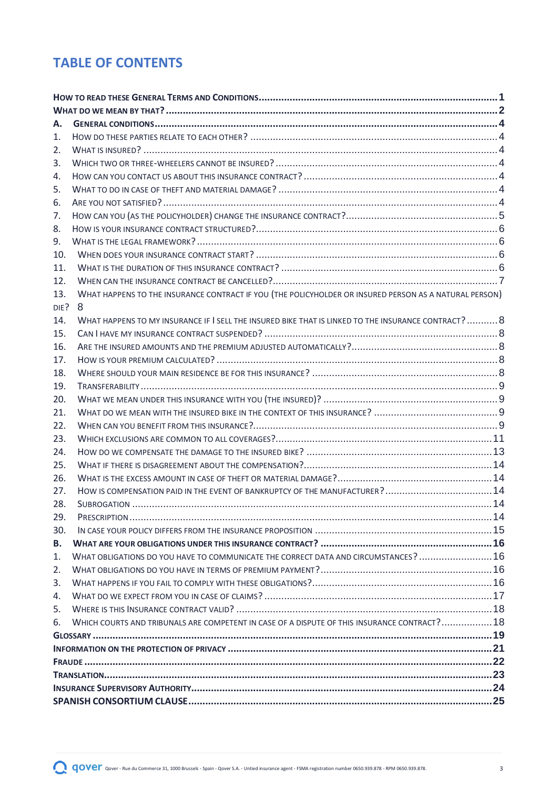# **TABLE OF CONTENTS**

| А.   |                                                                                                        |  |  |
|------|--------------------------------------------------------------------------------------------------------|--|--|
| 1.   |                                                                                                        |  |  |
| 2.   |                                                                                                        |  |  |
| 3.   |                                                                                                        |  |  |
| 4.   |                                                                                                        |  |  |
| 5.   |                                                                                                        |  |  |
| 6.   |                                                                                                        |  |  |
| 7.   |                                                                                                        |  |  |
| 8.   |                                                                                                        |  |  |
| 9.   |                                                                                                        |  |  |
| 10.  |                                                                                                        |  |  |
| 11.  |                                                                                                        |  |  |
| 12.  |                                                                                                        |  |  |
| 13.  | WHAT HAPPENS TO THE INSURANCE CONTRACT IF YOU (THE POLICYHOLDER OR INSURED PERSON AS A NATURAL PERSON) |  |  |
| DIE? | 8                                                                                                      |  |  |
| 14.  | WHAT HAPPENS TO MY INSURANCE IF I SELL THE INSURED BIKE THAT IS LINKED TO THE INSURANCE CONTRACT? 8    |  |  |
| 15.  |                                                                                                        |  |  |
| 16.  |                                                                                                        |  |  |
| 17.  |                                                                                                        |  |  |
| 18.  |                                                                                                        |  |  |
| 19.  |                                                                                                        |  |  |
| 20.  |                                                                                                        |  |  |
| 21.  |                                                                                                        |  |  |
| 22.  |                                                                                                        |  |  |
| 23.  |                                                                                                        |  |  |
| 24.  |                                                                                                        |  |  |
| 25.  |                                                                                                        |  |  |
| 26.  |                                                                                                        |  |  |
| 27.  |                                                                                                        |  |  |
| 28.  |                                                                                                        |  |  |
| 29.  |                                                                                                        |  |  |
| 30.  |                                                                                                        |  |  |
| В.   |                                                                                                        |  |  |
| 1.   | WHAT OBLIGATIONS DO YOU HAVE TO COMMUNICATE THE CORRECT DATA AND CIRCUMSTANCES?  16                    |  |  |
| 2.   |                                                                                                        |  |  |
| 3.   |                                                                                                        |  |  |
| 4.   |                                                                                                        |  |  |
| 5.   |                                                                                                        |  |  |
| 6.   | WHICH COURTS AND TRIBUNALS ARE COMPETENT IN CASE OF A DISPUTE OF THIS INSURANCE CONTRACT? 18           |  |  |
|      |                                                                                                        |  |  |
|      |                                                                                                        |  |  |
|      |                                                                                                        |  |  |
|      |                                                                                                        |  |  |
|      |                                                                                                        |  |  |
|      |                                                                                                        |  |  |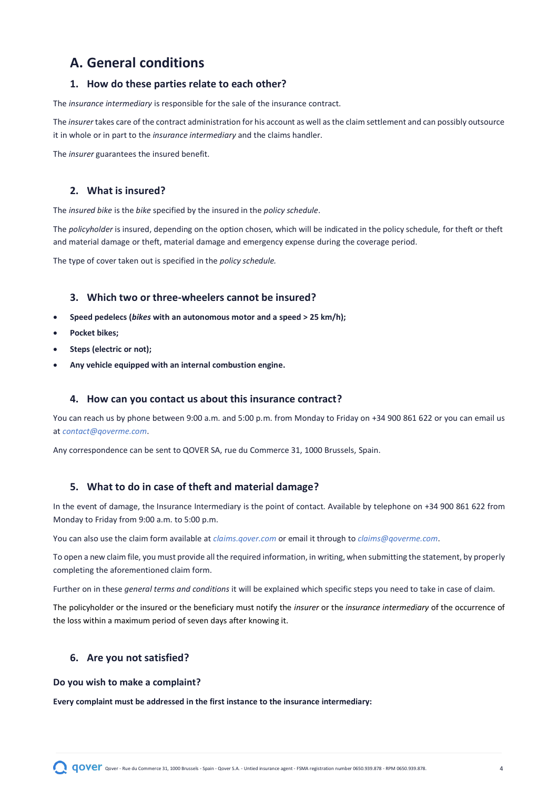# <span id="page-3-0"></span>**A. General conditions**

# <span id="page-3-1"></span>**1. How do these parties relate to each other?**

The *insurance intermediary* is responsible for the sale of the insurance contract.

The *insurer* takes care of the contract administration for his account as well as the claim settlement and can possibly outsource it in whole or in part to the *insurance intermediary* and the claims handler.

The *insurer* guarantees the insured benefit.

# <span id="page-3-2"></span>**2. What is insured?**

The *insured bike* is the *bike* specified by the insured in the *policy schedule*.

The *policyholder* is insured, depending on the option chosen, which will be indicated in the policy schedule, for theft or theft and material damage or theft, material damage and emergency expense during the coverage period.

The type of cover taken out is specified in the *policy schedule.*

# <span id="page-3-3"></span>**3. Which two or three-wheelers cannot be insured?**

- **Speed pedelecs (***bikes* **with an autonomous motor and a speed > 25 km/h);**
- **Pocket bikes;**
- **Steps (electric or not);**
- **Any vehicle equipped with an internal combustion engine.**

### <span id="page-3-4"></span>**4. How can you contact us about this insurance contract?**

You can reach us by phone between 9:00 a.m. and 5:00 p.m. from Monday to Friday on +34 900 861 622 or you can email us at *[contact@qoverme.com](mailto:contact@qoverme.com)*.

Any correspondence can be sent to QOVER SA, rue du Commerce 31, 1000 Brussels, Spain.

# <span id="page-3-5"></span>**5. What to do in case of theft and material damage?**

In the event of damage, the Insurance Intermediary is the point of contact. Available by telephone on +34 900 861 622 from Monday to Friday from 9:00 a.m. to 5:00 p.m.

You can also use the claim form available at *[claims.qover.com](http://www.claim.qover.com/)* or email it through to *[claims@qoverme.com](mailto:claims@qoverme.com)*.

To open a new claim file, you must provide all the required information, in writing, when submitting the statement, by properly completing the aforementioned claim form.

Further on in these *general terms and conditions* it will be explained which specific steps you need to take in case of claim.

The policyholder or the insured or the beneficiary must notify the *insurer* or the *insurance intermediary* of the occurrence of the loss within a maximum period of seven days after knowing it.

# <span id="page-3-6"></span>**6. Are you not satisfied?**

#### **Do you wish to make a complaint?**

**Every complaint must be addressed in the first instance to the insurance intermediary:**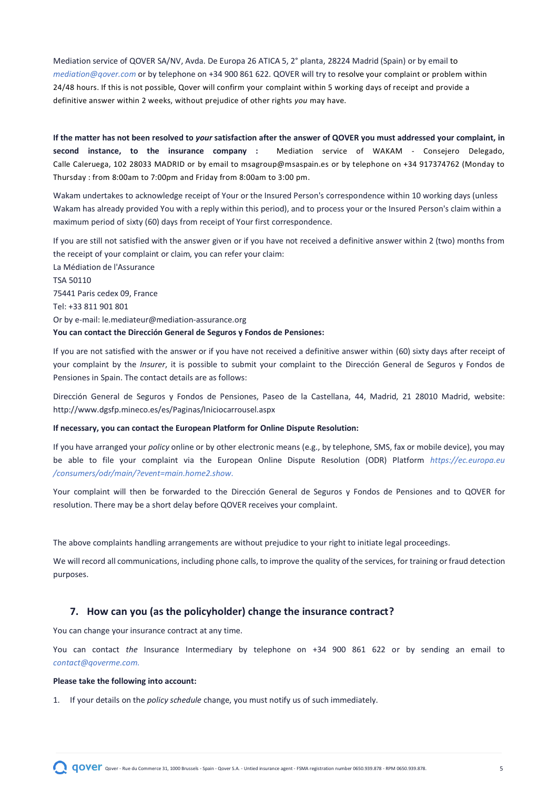Mediation service of QOVER SA/NV, Avda. De Europa 26 ATICA 5, 2° planta, 28224 Madrid (Spain) or by email [to](mailto:mediation@qover.com) *mediation@qover.com* or by telephone on +34 900 861 622. QOVER will try to resolve your complaint or problem within 24/48 hours. If this is not possible, Qover will confirm your complaint within 5 working days of receipt and provide a definitive answer within 2 weeks, without prejudice of other rights *you* may have.

**If the matter has not been resolved to** *your* **satisfaction after the answer of QOVER you must addressed your complaint, in second instance, to the insurance company :** Mediation service of WAKAM - Consejero Delegado, Calle Caleruega, 102 28033 MADRID or by email to [msagroup@msaspain.es](mailto:msagroup@msaspain.es) or by telephone on +34 917374762 (Monday to Thursday : from 8:00am to 7:00pm and Friday from 8:00am to 3:00 pm.

Wakam undertakes to acknowledge receipt of Your or the Insured Person's correspondence within 10 working days (unless Wakam has already provided You with a reply within this period), and to process your or the Insured Person's claim within a maximum period of sixty (60) days from receipt of Your first correspondence.

If you are still not satisfied with the answer given or if you have not received a definitive answer within 2 (two) months from the receipt of your complaint or claim, you can refer your claim: La Médiation de l'Assurance TSA 50110 75441 Paris cedex 09, France Tel: +33 811 901 801 Or by e-mail: le.mediateur@mediation-assurance.org **You can contact the Dirección General de Seguros y Fondos de Pensiones:**

If you are not satisfied with the answer or if you have not received a definitive answer within (60) sixty days after receipt of your complaint by the *Insurer*, it is possible to submit your complaint to the Dirección General de Seguros y Fondos de Pensiones in Spain. The contact details are as follows:

Dirección General de Seguros y Fondos de Pensiones, Paseo de la Castellana, 44, Madrid, 21 28010 Madrid, website: http://www.dgsfp.mineco.es/es/Paginas/Iniciocarrousel.aspx

#### **If necessary, you can contact the European Platform for Online Dispute Resolution:**

If you have arranged your *policy* online or by other electronic means (e.g., by telephone, SMS, fax or mobile device), you may be able to file your complaint via the European Online Dispute Resolution (ODR) Platform *[https://ec.europa.eu](https://ec.europa.eu/consumers/odr/main/?event=main.home2.show)  [/consumers/odr/main/?event=main.home2.show.](https://ec.europa.eu/consumers/odr/main/?event=main.home2.show)*

Your complaint will then be forwarded to the Dirección General de Seguros y Fondos de Pensiones and to QOVER for resolution. There may be a short delay before QOVER receives your complaint.

The above complaints handling arrangements are without prejudice to your right to initiate legal proceedings.

We will record all communications, including phone calls, to improve the quality of the services, for training or fraud detection purposes.

# <span id="page-4-0"></span>**7. How can you (as the policyholder) change the insurance contract?**

You can change your insurance contract at any time.

You can contact *the* Insurance Intermediary by telephone on +34 900 861 622 or by [sending an email to](mailto:contact@qoverme.com) *contact@qoverme.com.*

#### **Please take the following into account:**

1. If your details on the *policy schedule* change, you must notify us of such immediately.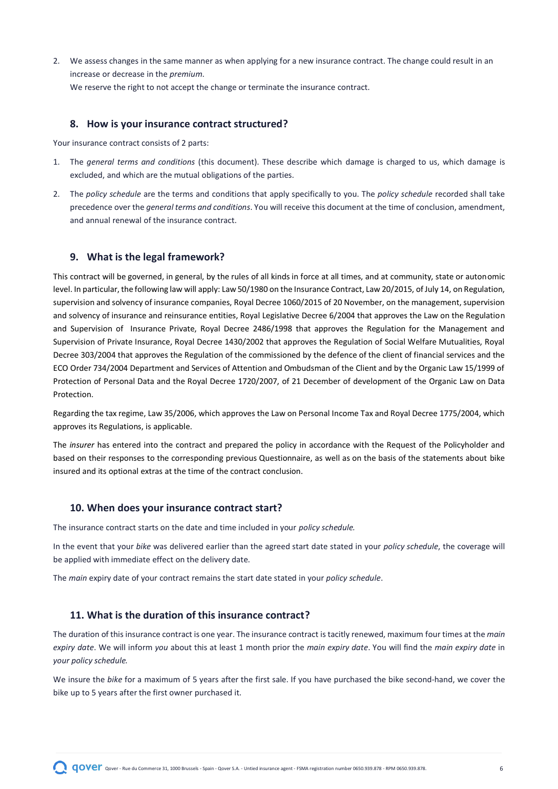2. We assess changes in the same manner as when applying for a new insurance contract. The change could result in an increase or decrease in the *premium*.

We reserve the right to not accept the change or terminate the insurance contract.

### <span id="page-5-0"></span>**8. How is your insurance contract structured?**

Your insurance contract consists of 2 parts:

- 1. The *general terms and conditions* (this document). These describe which damage is charged to us, which damage is excluded, and which are the mutual obligations of the parties.
- 2. The *policy schedule* are the terms and conditions that apply specifically to you. The *policy schedule* recorded shall take precedence over the *general terms and conditions*. You will receive this document at the time of conclusion, amendment, and annual renewal of the insurance contract.

# <span id="page-5-1"></span>**9. What is the legal framework?**

This contract will be governed, in general, by the rules of all kinds in force at all times, and at community, state or autonomic level. In particular, the following law will apply: Law 50/1980 on the Insurance Contract, Law 20/2015, of July 14, on Regulation, supervision and solvency of insurance companies, Royal Decree 1060/2015 of 20 November, on the management, supervision and solvency of insurance and reinsurance entities, Royal Legislative Decree 6/2004 that approves the Law on the Regulation and Supervision of Insurance Private, Royal Decree 2486/1998 that approves the Regulation for the Management and Supervision of Private Insurance, Royal Decree 1430/2002 that approves the Regulation of Social Welfare Mutualities, Royal Decree 303/2004 that approves the Regulation of the commissioned by the defence of the client of financial services and the ECO Order 734/2004 Department and Services of Attention and Ombudsman of the Client and by the Organic Law 15/1999 of Protection of Personal Data and the Royal Decree 1720/2007, of 21 December of development of the Organic Law on Data Protection.

Regarding the tax regime, Law 35/2006, which approves the Law on Personal Income Tax and Royal Decree 1775/2004, which approves its Regulations, is applicable.

The *insurer* has entered into the contract and prepared the policy in accordance with the Request of the Policyholder and based on their responses to the corresponding previous Questionnaire, as well as on the basis of the statements about bike insured and its optional extras at the time of the contract conclusion.

#### <span id="page-5-2"></span>**10. When does your insurance contract start?**

The insurance contract starts on the date and time included in your *policy schedule.*

In the event that your *bike* was delivered earlier than the agreed start date stated in your *policy schedule*, the coverage will be applied with immediate effect on the delivery date.

The *main* expiry date of your contract remains the start date stated in your *policy schedule*.

# <span id="page-5-3"></span>**11. What is the duration of this insurance contract?**

The duration of this insurance contract is one year. The insurance contract is tacitly renewed, maximum four times at the *main expiry date*. We will inform *you* about this at least 1 month prior the *main expiry date*. You will find the *main expiry date* in *your policy schedule.*

We insure the *bike* for a maximum of 5 years after the first sale. If you have purchased the bike second-hand, we cover the bike up to 5 years after the first owner purchased it.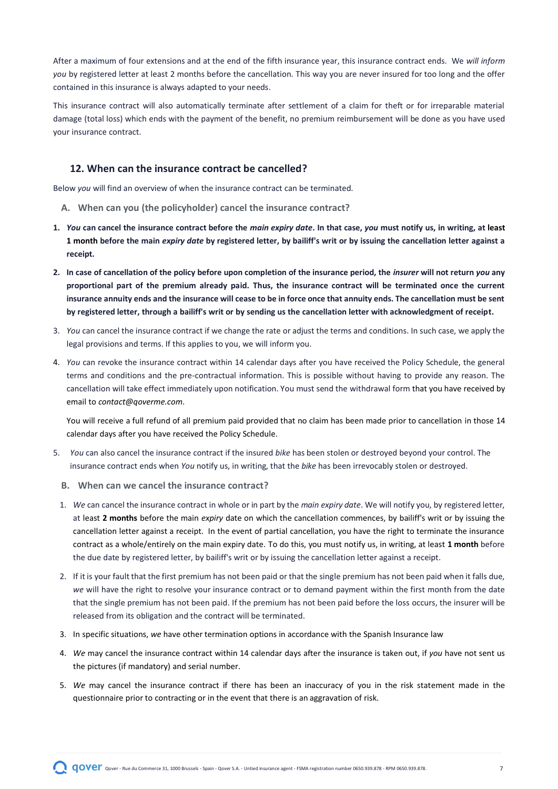After a maximum of four extensions and at the end of the fifth insurance year, this insurance contract ends. We *will inform you* by registered letter at least 2 months before the cancellation. This way you are never insured for too long and the offer contained in this insurance is always adapted to your needs.

This insurance contract will also automatically terminate after settlement of a claim for theft or for irreparable material damage (total loss) which ends with the payment of the benefit, no premium reimbursement will be done as you have used your insurance contract.

# <span id="page-6-0"></span>**12. When can the insurance contract be cancelled?**

Below *you* will find an overview of when the insurance contract can be terminated.

- **A. When can you (the policyholder) cancel the insurance contract?**
- **1.** *You* **can cancel the insurance contract before the** *main expiry date***. In that case,** *you* **must notify us, in writing, at least 1 month before the main** *expiry date* **by registered letter, by bailiff's writ or by issuing the cancellation letter against a receipt.**
- **2. In case of cancellation of the policy before upon completion of the insurance period, the** *insurer* **will not return** *you* **any proportional part of the premium already paid. Thus, the insurance contract will be terminated once the current insurance annuity ends and the insurance will cease to be in force once that annuity ends. The cancellation must be sent by registered letter, through a bailiff's writ or by sending us the cancellation letter with acknowledgment of receipt.**
- 3. *You* can cancel the insurance contract if we change the rate or adjust the terms and conditions. In such case, we apply the legal provisions and terms. If this applies to you, we will inform you.
- 4. *You* can revoke the insurance contract within 14 calendar days after you have received the Policy Schedule, the general terms and conditions and the pre-contractual information. This is possible without having to provide any reason. The cancellation will take effect immediately upon notification. You must send the withdrawal form that you have received by email to *[contact@qoverme.com](mailto:contact@qoverme.com)*.

You will receive a full refund of all premium paid provided that no claim has been made prior to cancellation in those 14 calendar days after you have received the Policy Schedule.

- 5. *You* can also cancel the insurance contract if the insured *bike* has been stolen or destroyed beyond your control. The insurance contract ends when *You* notify us, in writing, that the *bike* has been irrevocably stolen or destroyed.
	- **B. When can we cancel the insurance contract?**
	- 1. *We* can cancel the insurance contract in whole or in part by the *main expiry date*. We will notify you, by registered letter, at least **2 months** before the main *expiry* date on which the cancellation commences, by bailiff's writ or by issuing the cancellation letter against a receipt. In the event of partial cancellation, you have the right to terminate the insurance contract as a whole/entirely on the main expiry date. To do this, you must notify us, in writing, at least **1 month** before the due date by registered letter, by bailiff's writ or by issuing the cancellation letter against a receipt.
	- 2. If it is your fault that the first premium has not been paid or that the single premium has not been paid when it falls due, *we* will have the right to resolve your insurance contract or to demand payment within the first month from the date that the single premium has not been paid. If the premium has not been paid before the loss occurs, the insurer will be released from its obligation and the contract will be terminated.
	- 3. In specific situations, *we* have other termination options in accordance with the Spanish Insurance law
	- 4. *We* may cancel the insurance contract within 14 calendar days after the insurance is taken out, if *you* have not sent us the pictures (if mandatory) and serial number.
	- 5. *We* may cancel the insurance contract if there has been an inaccuracy of you in the risk statement made in the questionnaire prior to contracting or in the event that there is an aggravation of risk.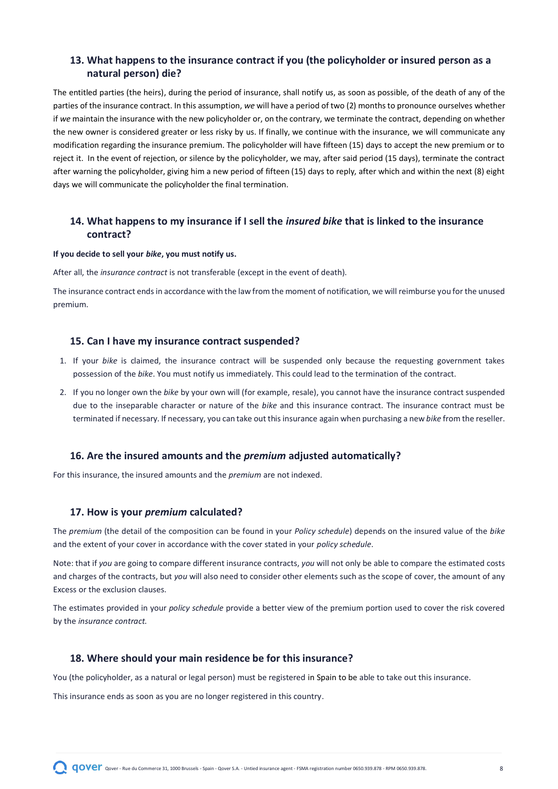# <span id="page-7-0"></span>**13. What happens to the insurance contract if you (the policyholder or insured person as a natural person) die?**

The entitled parties (the heirs), during the period of insurance, shall notify us, as soon as possible, of the death of any of the parties of the insurance contract. In this assumption, *we* will have a period of two (2) months to pronounce ourselves whether if *we* maintain the insurance with the new policyholder or, on the contrary, we terminate the contract, depending on whether the new owner is considered greater or less risky by us. If finally, we continue with the insurance, we will communicate any modification regarding the insurance premium. The policyholder will have fifteen (15) days to accept the new premium or to reject it. In the event of rejection, or silence by the policyholder, we may, after said period (15 days), terminate the contract after warning the policyholder, giving him a new period of fifteen (15) days to reply, after which and within the next (8) eight days we will communicate the policyholder the final termination.

# <span id="page-7-1"></span>**14. What happens to my insurance if I sell the** *insured bike* **that is linked to the insurance contract?**

#### **If you decide to sell your** *bike***, you must notify us.**

After all, the *insurance contract* is not transferable (except in the event of death).

The insurance contract ends in accordance with the law from the moment of notification, we will reimburse you for the unused premium.

#### <span id="page-7-2"></span>**15. Can I have my insurance contract suspended?**

- 1. If your *bike* is claimed, the insurance contract will be suspended only because the requesting government takes possession of the *bike*. You must notify us immediately. This could lead to the termination of the contract.
- 2. If you no longer own the *bike* by your own will (for example, resale), you cannot have the insurance contract suspended due to the inseparable character or nature of the *bike* and this insurance contract. The insurance contract must be terminated if necessary. If necessary, you can take out this insurance again when purchasing a new *bike* from the reseller.

#### <span id="page-7-3"></span>**16. Are the insured amounts and the** *premium* **adjusted automatically?**

For this insurance, the insured amounts and the *premium* are not indexed.

#### <span id="page-7-4"></span>**17. How is your** *premium* **calculated?**

The *premium* (the detail of the composition can be found in your *Policy schedule*) depends on the insured value of the *bike* and the extent of your cover in accordance with the cover stated in your *policy schedule*.

Note: that if *you* are going to compare different insurance contracts, *you* will not only be able to compare the estimated costs and charges of the contracts, but *you* will also need to consider other elements such as the scope of cover, the amount of any Excess or the exclusion clauses.

The estimates provided in your *policy schedule* provide a better view of the premium portion used to cover the risk covered by the *insurance contract.*

# <span id="page-7-5"></span>**18. Where should your main residence be for this insurance?**

You (the policyholder, as a natural or legal person) must be registered in Spain to be able to take out this insurance.

This insurance ends as soon as you are no longer registered in this country.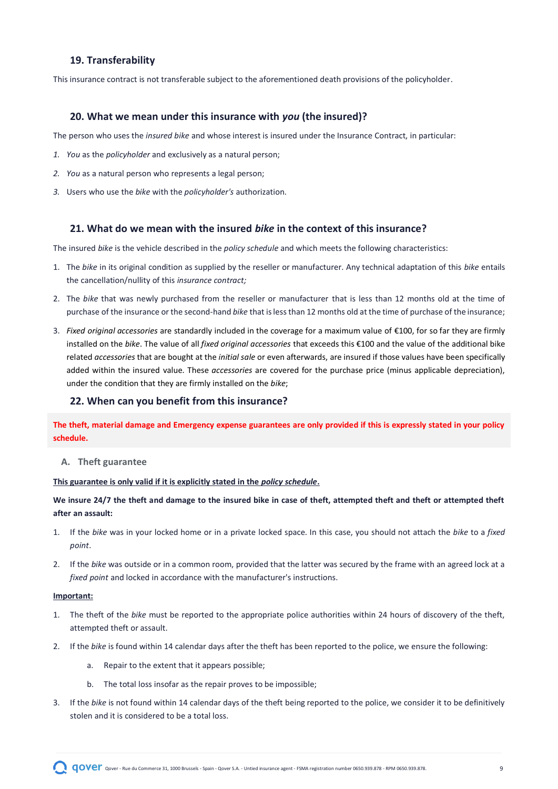# <span id="page-8-0"></span>**19. Transferability**

This insurance contract is not transferable subject to the aforementioned death provisions of the policyholder.

#### <span id="page-8-1"></span>**20. What we mean under this insurance with** *you* **(the insured)?**

The person who uses the *insured bike* and whose interest is insured under the Insurance Contract, in particular:

- *1. You* as the *policyholder* and exclusively as a natural person;
- *2. You* as a natural person who represents a legal person;
- *3.* Users who use the *bike* with the *policyholder's* authorization.

#### <span id="page-8-2"></span>**21. What do we mean with the insured** *bike* **in the context of this insurance?**

The insured *bike* is the vehicle described in the *policy schedule* and which meets the following characteristics:

- 1. The *bike* in its original condition as supplied by the reseller or manufacturer. Any technical adaptation of this *bike* entails the cancellation/nullity of this *insurance contract;*
- 2. The *bike* that was newly purchased from the reseller or manufacturer that is less than 12 months old at the time of purchase of the insurance or the second-hand *bike* that is less than 12 months old at the time of purchase of the insurance;
- 3. *Fixed original accessories* are standardly included in the coverage for a maximum value of €100, for so far they are firmly installed on the *bike*. The value of all *fixed original accessories* that exceeds this €100 and the value of the additional bike related *accessories* that are bought at the *initial sale* or even afterwards, are insured if those values have been specifically added within the insured value. These *accessories* are covered for the purchase price (minus applicable depreciation), under the condition that they are firmly installed on the *bike*;

#### <span id="page-8-3"></span>**22. When can you benefit from this insurance?**

**The theft, material damage and Emergency expense guarantees are only provided if this is expressly stated in your policy schedule.**

#### **A. Theft guarantee**

#### **This guarantee is only valid if it is explicitly stated in the** *policy schedule***.**

**We insure 24/7 the theft and damage to the insured bike in case of theft, attempted theft and theft or attempted theft after an assault:**

- 1. If the *bike* was in your locked home or in a private locked space. In this case, you should not attach the *bike* to a *fixed point*.
- 2. If the *bike* was outside or in a common room, provided that the latter was secured by the frame with an agreed lock at a *fixed point* and locked in accordance with the manufacturer's instructions.

#### **Important:**

- 1. The theft of the *bike* must be reported to the appropriate police authorities within 24 hours of discovery of the theft, attempted theft or assault.
- 2. If the *bike* is found within 14 calendar days after the theft has been reported to the police, we ensure the following:
	- a. Repair to the extent that it appears possible;
	- b. The total loss insofar as the repair proves to be impossible;
- 3. If the *bike* is not found within 14 calendar days of the theft being reported to the police, we consider it to be definitively stolen and it is considered to be a total loss.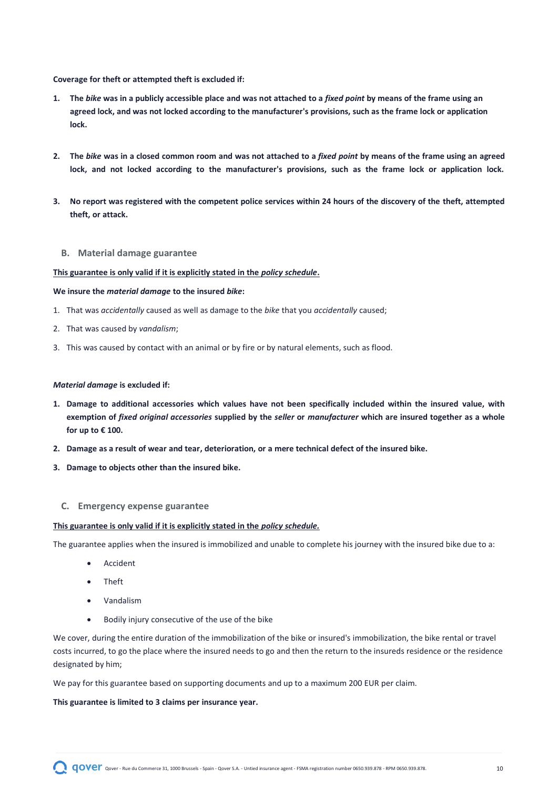**Coverage for theft or attempted theft is excluded if:**

- **1. The** *bike* **was in a publicly accessible place and was not attached to a** *fixed point* **by means of the frame using an agreed lock, and was not locked according to the manufacturer's provisions, such as the frame lock or application lock.**
- **2. The** *bike* **was in a closed common room and was not attached to a** *fixed point* **by means of the frame using an agreed lock, and not locked according to the manufacturer's provisions, such as the frame lock or application lock.**
- **3. No report was registered with the competent police services within 24 hours of the discovery of the theft, attempted theft, or attack.**
	- **B. Material damage guarantee**

#### **This guarantee is only valid if it is explicitly stated in the** *policy schedule***.**

#### **We insure the** *material damage* **to the insured** *bike***:**

- 1. That was *accidentally* caused as well as damage to the *bike* that you *accidentally* caused;
- 2. That was caused by *vandalism*;
- 3. This was caused by contact with an animal or by fire or by natural elements, such as flood.

#### *Material damage* **is excluded if:**

- **1. Damage to additional accessories which values have not been specifically included within the insured value, with exemption of** *fixed original accessories* **supplied by the** *seller* **or** *manufacturer* **which are insured together as a whole for up to € 100.**
- **2. Damage as a result of wear and tear, deterioration, or a mere technical defect of the insured bike.**
- **3. Damage to objects other than the insured bike.**

#### **C. Emergency expense guarantee**

#### **This guarantee is only valid if it is explicitly stated in the** *policy schedule.*

The guarantee applies when the insured is immobilized and unable to complete his journey with the insured bike due to a:

- **Accident**
- Theft
- Vandalism
- Bodily injury consecutive of the use of the bike

We cover, during the entire duration of the immobilization of the bike or insured's immobilization, the bike rental or travel costs incurred, to go the place where the insured needs to go and then the return to the insureds residence or the residence designated by him;

We pay for this guarantee based on supporting documents and up to a maximum 200 EUR per claim.

#### **This guarantee is limited to 3 claims per insurance year.**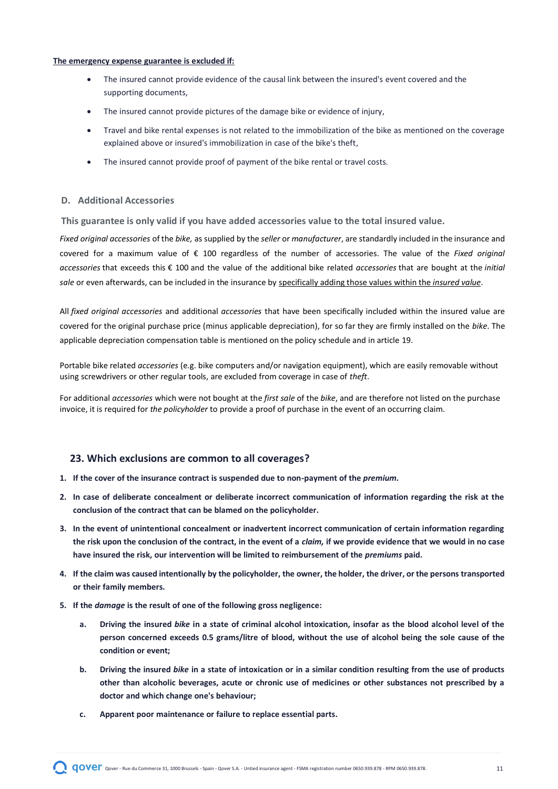#### **The emergency expense guarantee is excluded if:**

- The insured cannot provide evidence of the causal link between the insured's event covered and the supporting documents,
- The insured cannot provide pictures of the damage bike or evidence of injury,
- Travel and bike rental expenses is not related to the immobilization of the bike as mentioned on the coverage explained above or insured's immobilization in case of the bike's theft,
- The insured cannot provide proof of payment of the bike rental or travel costs.

### **D. Additional Accessories**

**This guarantee is only valid if you have added accessories value to the total insured value.**

*Fixed original accessories* of the *bike,* as supplied by the *seller* or *manufacturer*, are standardly included in the insurance and covered for a maximum value of € 100 regardless of the number of accessories. The value of the *Fixed original accessories* that exceeds this € 100 and the value of the additional bike related *accessories* that are bought at the *initial sale* or even afterwards, can be included in the insurance by specifically adding those values within the *insured value*.

All *fixed original accessories* and additional *accessories* that have been specifically included within the insured value are covered for the original purchase price (minus applicable depreciation), for so far they are firmly installed on the *bike*. The applicable depreciation compensation table is mentioned on the policy schedule and in article 19.

Portable bike related *accessories* (e.g. bike computers and/or navigation equipment), which are easily removable without using screwdrivers or other regular tools, are excluded from coverage in case of *theft*.

For additional *accessories* which were not bought at the *first sale* of the *bike*, and are therefore not listed on the purchase invoice, it is required for *the policyholder* to provide a proof of purchase in the event of an occurring claim.

## <span id="page-10-0"></span>**23. Which exclusions are common to all coverages?**

- 1. If the cover of the insurance contract is suspended due to non-payment of the *premium*.
- **2. In case of deliberate concealment or deliberate incorrect communication of information regarding the risk at the conclusion of the contract that can be blamed on the policyholder.**
- **3. In the event of unintentional concealment or inadvertent incorrect communication of certain information regarding the risk upon the conclusion of the contract, in the event of a** *claim,* **if we provide evidence that we would in no case have insured the risk, our intervention will be limited to reimbursement of the** *premiums* **paid.**
- **4. If the claim was caused intentionally by the policyholder, the owner, the holder, the driver, or the persons transported or their family members.**
- **5. If the** *damage* **is the result of one of the following gross negligence:**
	- **a. Driving the insured** *bike* **in a state of criminal alcohol intoxication, insofar as the blood alcohol level of the person concerned exceeds 0.5 grams/litre of blood, without the use of alcohol being the sole cause of the condition or event;**
	- **b. Driving the insured** *bike* **in a state of intoxication or in a similar condition resulting from the use of products other than alcoholic beverages, acute or chronic use of medicines or other substances not prescribed by a doctor and which change one's behaviour;**
	- **c. Apparent poor maintenance or failure to replace essential parts.**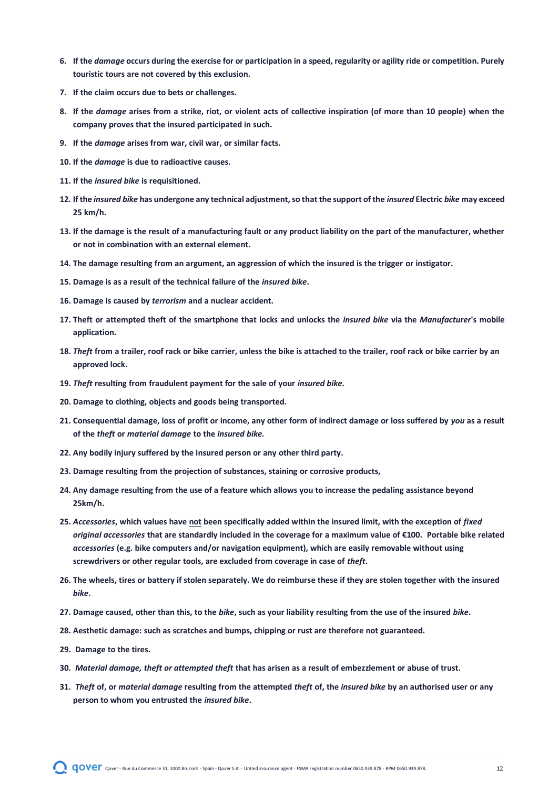- **6. If the** *damage* **occurs during the exercise for or participation in a speed, regularity or agility ride or competition. Purely touristic tours are not covered by this exclusion.**
- **7. If the claim occurs due to bets or challenges.**
- **8. If the** *damage* **arises from a strike, riot, or violent acts of collective inspiration (of more than 10 people) when the company proves that the insured participated in such.**
- **9. If the** *damage* **arises from war, civil war, or similar facts.**
- **10. If the** *damage* **is due to radioactive causes.**
- **11. If the** *insured bike* **is requisitioned.**
- **12. If the** *insured bike* **has undergone any technical adjustment, so that the support of the** *insured* **Electric** *bike* **may exceed 25 km/h.**
- **13. If the damage is the result of a manufacturing fault or any product liability on the part of the manufacturer, whether or not in combination with an external element.**
- **14. The damage resulting from an argument, an aggression of which the insured is the trigger or instigator.**
- **15. Damage is as a result of the technical failure of the** *insured bike***.**
- **16. Damage is caused by** *terrorism* **and a nuclear accident.**
- **17. Theft or attempted theft of the smartphone that locks and unlocks the** *insured bike* **via the** *Manufacturer***'s mobile application.**
- **18.** *Theft* **from a trailer, roof rack or bike carrier, unless the bike is attached to the trailer, roof rack or bike carrier by an approved lock.**
- **19.** *Theft* **resulting from fraudulent payment for the sale of your** *insured bike.*
- **20. Damage to clothing, objects and goods being transported.**
- **21. Consequential damage, loss of profit or income, any other form of indirect damage or loss suffered by** *you* **as a result of the** *theft* **or** *material damage* **to the** *insured bike.*
- **22. Any bodily injury suffered by the insured person or any other third party.**
- **23. Damage resulting from the projection of substances, staining or corrosive products,**
- **24. Any damage resulting from the use of a feature which allows you to increase the pedaling assistance beyond 25km/h.**
- **25.** *Accessories***, which values have not been specifically added within the insured limit, with the exception of** *fixed original accessories* **that are standardly included in the coverage for a maximum value of €100. Portable bike related**  *accessories* **(e.g. bike computers and/or navigation equipment), which are easily removable without using screwdrivers or other regular tools, are excluded from coverage in case of** *theft***.**
- **26. The wheels, tires or battery if stolen separately. We do reimburse these if they are stolen together with the insured**  *bike***.**
- **27. Damage caused, other than this, to the** *bike***, such as your liability resulting from the use of the insured** *bike***.**
- **28. Aesthetic damage: such as scratches and bumps, chipping or rust are therefore not guaranteed.**
- **29. Damage to the tires.**
- **30.** *Material damage, theft or attempted theft* **that has arisen as a result of embezzlement or abuse of trust.**
- **31.** *Theft* **of, or** *material damage* **resulting from the attempted** *theft* **of, the** *insured bike* **by an authorised user or any person to whom you entrusted the** *insured bike***.**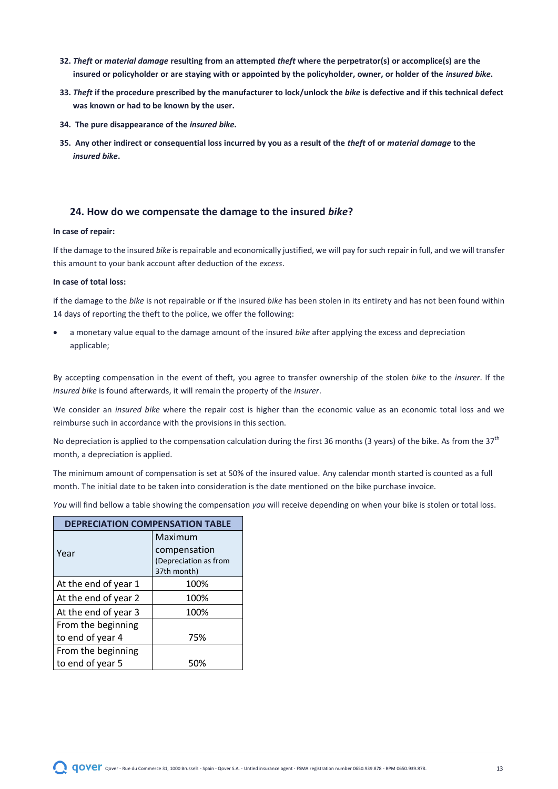- **32.** *Theft* **or** *material damage* **resulting from an attempted** *theft* **where the perpetrator(s) or accomplice(s) are the insured or policyholder or are staying with or appointed by the policyholder, owner, or holder of the** *insured bike***.**
- **33.** *Theft* **if the procedure prescribed by the manufacturer to lock/unlock the** *bike* **is defective and if this technical defect was known or had to be known by the user.**
- **34. The pure disappearance of the** *insured bike.*
- **35. Any other indirect or consequential loss incurred by you as a result of the** *theft* **of or** *material damage* **to the**  *insured bike***.**

# <span id="page-12-0"></span>**24. How do we compensate the damage to the insured** *bike***?**

#### **In case of repair:**

If the damage to the insured *bike* is repairable and economically justified, we will pay for such repair in full, and we will transfer this amount to your bank account after deduction of the *excess*.

#### **In case of total loss:**

if the damage to the *bike* is not repairable or if the insured *bike* has been stolen in its entirety and has not been found within 14 days of reporting the theft to the police, we offer the following:

• a monetary value equal to the damage amount of the insured *bike* after applying the excess and depreciation applicable;

By accepting compensation in the event of theft, you agree to transfer ownership of the stolen *bike* to the *insurer*. If the *insured bike* is found afterwards, it will remain the property of the *insurer*.

We consider an *insured bike* where the repair cost is higher than the economic value as an economic total loss and we reimburse such in accordance with the provisions in this section.

No depreciation is applied to the compensation calculation during the first 36 months (3 years) of the bike. As from the 37<sup>th</sup> month, a depreciation is applied.

The minimum amount of compensation is set at 50% of the insured value. Any calendar month started is counted as a full month. The initial date to be taken into consideration is the date mentioned on the bike purchase invoice.

*You* will find bellow a table showing the compensation *you* will receive depending on when your bike is stolen or total loss.

| <b>DEPRECIATION COMPENSATION TABLE</b> |                       |  |  |
|----------------------------------------|-----------------------|--|--|
|                                        | Maximum               |  |  |
| Year                                   | compensation          |  |  |
|                                        | (Depreciation as from |  |  |
|                                        | 37th month)           |  |  |
| At the end of year 1                   | 100%                  |  |  |
| At the end of year 2                   | 100%                  |  |  |
| At the end of year 3                   | 100%                  |  |  |
| From the beginning                     |                       |  |  |
| to end of year 4                       | 75%                   |  |  |
| From the beginning                     |                       |  |  |
| to end of year 5                       |                       |  |  |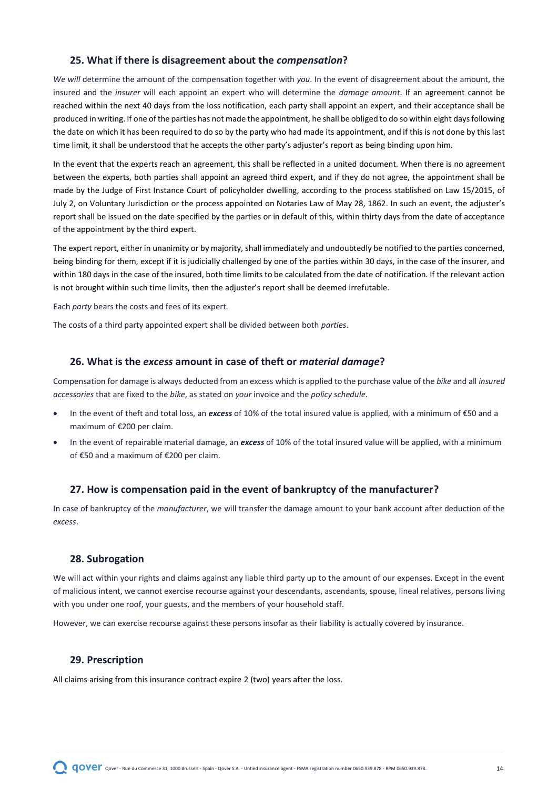# <span id="page-13-0"></span>**25. What if there is disagreement about the** *compensation***?**

*We will* determine the amount of the compensation together with *you*. In the event of disagreement about the amount, the insured and the *insurer* will each appoint an expert who will determine the *damage amount*. If an agreement cannot be reached within the next 40 days from the loss notification, each party shall appoint an expert, and their acceptance shall be produced in writing. If one of the parties has not made the appointment, he shall be obliged to do so within eight days following the date on which it has been required to do so by the party who had made its appointment, and if this is not done by this last time limit, it shall be understood that he accepts the other party's adjuster's report as being binding upon him.

In the event that the experts reach an agreement, this shall be reflected in a united document. When there is no agreement between the experts, both parties shall appoint an agreed third expert, and if they do not agree, the appointment shall be made by the Judge of First Instance Court of policyholder dwelling, according to the process stablished on Law 15/2015, of July 2, on Voluntary Jurisdiction or the process appointed on Notaries Law of May 28, 1862. In such an event, the adjuster's report shall be issued on the date specified by the parties or in default of this, within thirty days from the date of acceptance of the appointment by the third expert.

The expert report, either in unanimity or by majority, shall immediately and undoubtedly be notified to the parties concerned, being binding for them, except if it is judicially challenged by one of the parties within 30 days, in the case of the insurer, and within 180 days in the case of the insured, both time limits to be calculated from the date of notification. If the relevant action is not brought within such time limits, then the adjuster's report shall be deemed irrefutable.

Each *party* bears the costs and fees of its expert.

The costs of a third party appointed expert shall be divided between both *parties*.

#### <span id="page-13-1"></span>**26. What is the** *excess* **amount in case of theft or** *material damage***?**

Compensation for damage is always deducted from an excess which is applied to the purchase value of the *bike* and all *insured accessories* that are fixed to the *bike*, as stated on *your* invoice and the *policy schedule*.

- In the event of theft and total loss, an *excess* of 10% of the total insured value is applied, with a minimum of €50 and a maximum of €200 per claim.
- In the event of repairable material damage, an *excess* of 10% of the total insured value will be applied, with a minimum of €50 and a maximum of €200 per claim.

### <span id="page-13-2"></span>**27. How is compensation paid in the event of bankruptcy of the manufacturer?**

In case of bankruptcy of the *manufacturer*, we will transfer the damage amount to your bank account after deduction of the *excess*.

# <span id="page-13-3"></span>**28. Subrogation**

We will act within your rights and claims against any liable third party up to the amount of our expenses. Except in the event of malicious intent, we cannot exercise recourse against your descendants, ascendants, spouse, lineal relatives, persons living with you under one roof, your guests, and the members of your household staff.

However, we can exercise recourse against these persons insofar as their liability is actually covered by insurance.

# <span id="page-13-4"></span>**29. Prescription**

All claims arising from this insurance contract expire 2 (two) years after the loss.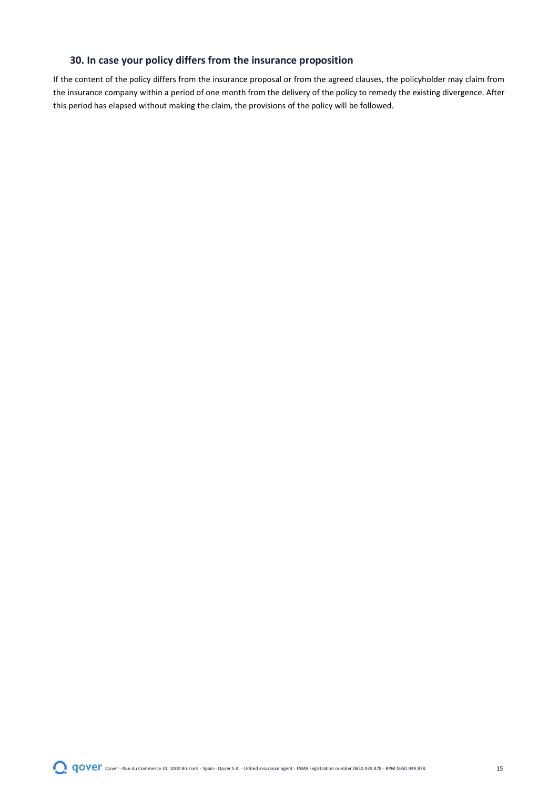# <span id="page-14-0"></span>**30. In case your policy differs from the insurance proposition**

If the content of the policy differs from the insurance proposal or from the agreed clauses, the policyholder may claim from the insurance company within a period of one month from the delivery of the policy to remedy the existing divergence. After this period has elapsed without making the claim, the provisions of the policy will be followed.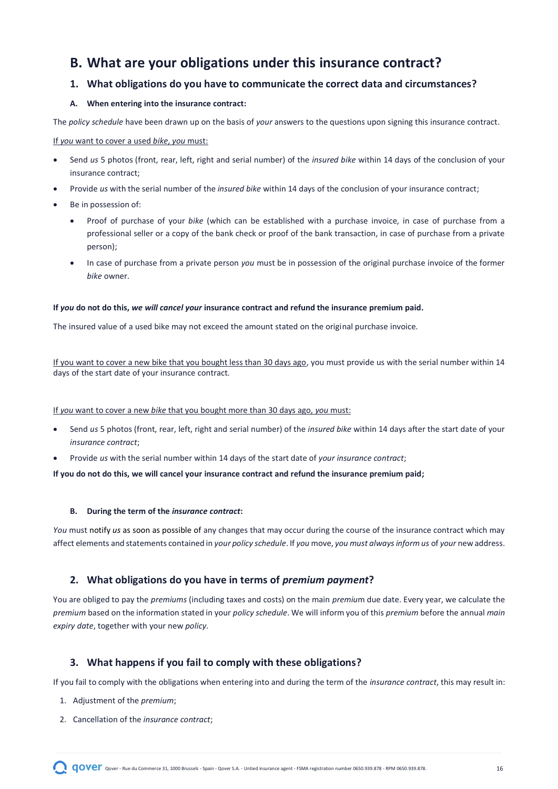# <span id="page-15-0"></span>**B. What are your obligations under this insurance contract?**

# <span id="page-15-1"></span>**1. What obligations do you have to communicate the correct data and circumstances?**

# **A. When entering into the insurance contract:**

The *policy schedule* have been drawn up on the basis of *your* answers to the questions upon signing this insurance contract.

#### If *you* want to cover a used *bike*, *you* must:

- Send *us* 5 photos (front, rear, left, right and serial number) of the *insured bike* within 14 days of the conclusion of your insurance contract;
- Provide *us* with the serial number of the *insured bike* within 14 days of the conclusion of your insurance contract;
- Be in possession of:
	- Proof of purchase of your *bike* (which can be established with a purchase invoice, in case of purchase from a professional seller or a copy of the bank check or proof of the bank transaction, in case of purchase from a private person);
	- In case of purchase from a private person *you* must be in possession of the original purchase invoice of the former *bike* owner.

#### **If** *you* **do not do this,** *we will cancel your* **insurance contract and refund the insurance premium paid.**

The insured value of a used bike may not exceed the amount stated on the original purchase invoice.

If you want to cover a new bike that you bought less than 30 days ago, you must provide us with the serial number within 14 days of the start date of your insurance contract.

#### If *you* want to cover a new *bike* that you bought more than 30 days ago, *you* must:

- Send *us* 5 photos (front, rear, left, right and serial number) of the *insured bike* within 14 days after the start date of your *insurance contract*;
- Provide *us* with the serial number within 14 days of the start date of *your insurance contract*;

**If you do not do this, we will cancel your insurance contract and refund the insurance premium paid;**

#### **B. During the term of the** *insurance contract***:**

*You* must notify *us* as soon as possible of any changes that may occur during the course of the insurance contract which may affect elements and statements contained in *your policy schedule*. If *you* move, *you must always inform us* of *your* new address.

# <span id="page-15-2"></span>**2. What obligations do you have in terms of** *premium payment***?**

You are obliged to pay the *premiums* (including taxes and costs) on the main *premiu*m due date. Every year, we calculate the *premium* based on the information stated in your *policy schedule*. We will inform you of this *premium* before the annual *main expiry date*, together with your new *policy*.

# <span id="page-15-3"></span>**3. What happens if you fail to comply with these obligations?**

If you fail to comply with the obligations when entering into and during the term of the *insurance contract*, this may result in:

- 1. Adjustment of the *premium*;
- 2. Cancellation of the *insurance contract*;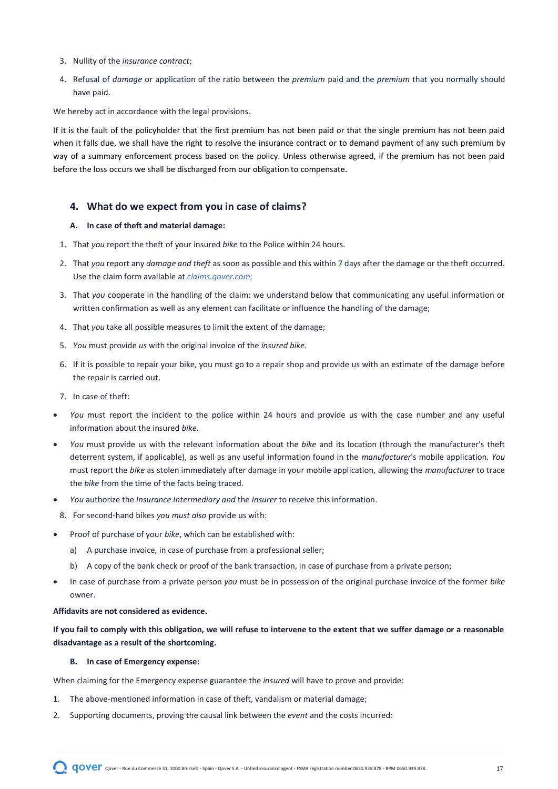- 3. Nullity of the *insurance contract*;
- 4. Refusal of *damage* or application of the ratio between the *premium* paid and the *premium* that you normally should have paid.

We hereby act in accordance with the legal provisions.

If it is the fault of the policyholder that the first premium has not been paid or that the single premium has not been paid when it falls due, we shall have the right to resolve the insurance contract or to demand payment of any such premium by way of a summary enforcement process based on the policy. Unless otherwise agreed, if the premium has not been paid before the loss occurs we shall be discharged from our obligation to compensate.

# <span id="page-16-0"></span>**4. What do we expect from you in case of claims?**

#### **A. In case of theft and material damage:**

- 1. That *you* report the theft of your insured *bike* to the Police within 24 hours.
- 2. That *you* report any *damage and theft* as soon as possible and this within 7 days after the damage or the theft occurred. Use the claim form available at *claims.qover.com;*
- 3. That *you* cooperate in the handling of the claim: we understand below that communicating any useful information or written confirmation as well as any element can facilitate or influence the handling of the damage;
- 4. That *you* take all possible measures to limit the extent of the damage;
- 5. *You* must provide *us* with the original invoice of the *insured bike.*
- 6. If it is possible to repair your bike, you must go to a repair shop and provide us with an estimate of the damage before the repair is carried out.
- 7. In case of theft:
- *You* must report the incident to the police within 24 hours and provide us with the case number and any useful information about the insured *bike*.
- *You* must provide us with the relevant information about the *bike* and its location (through the manufacturer's theft deterrent system, if applicable), as well as any useful information found in the *manufacturer*'s mobile application. *You* must report the *bike* as stolen immediately after damage in your mobile application, allowing the *manufacturer* to trace the *bike* from the time of the facts being traced.
- *You* authorize the *Insurance Intermediary and* the *Insurer* to receive this information.
	- 8. For second-hand bikes *you must also* provide us with:
- Proof of purchase of your *bike*, which can be established with:
	- a) A purchase invoice, in case of purchase from a professional seller;
	- b) A copy of the bank check or proof of the bank transaction, in case of purchase from a private person;
- In case of purchase from a private person *you* must be in possession of the original purchase invoice of the former *bike* owner.

#### **Affidavits are not considered as evidence.**

**If you fail to comply with this obligation, we will refuse to intervene to the extent that we suffer damage or a reasonable disadvantage as a result of the shortcoming.**

#### **B. In case of Emergency expense:**

When claiming for the Emergency expense guarantee the *insured* will have to prove and provide:

- 1. The above-mentioned information in case of theft, vandalism or material damage;
- 2. Supporting documents, proving the causal link between the *event* and the costs incurred: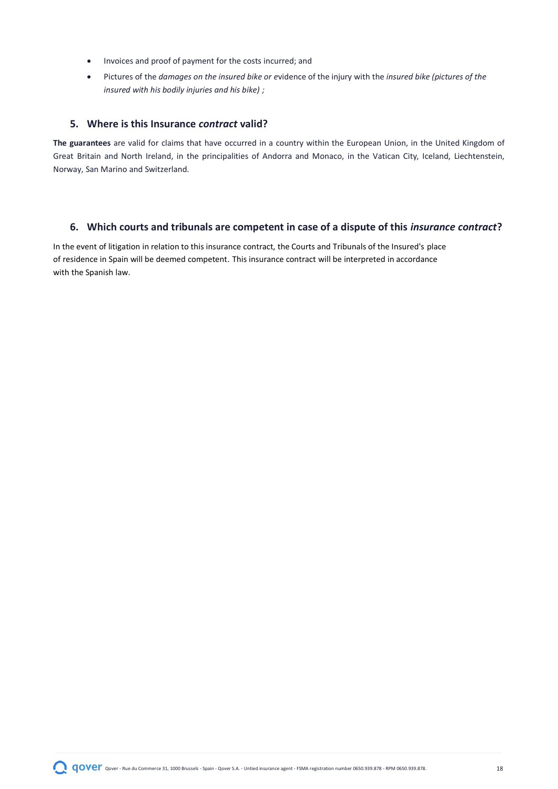- Invoices and proof of payment for the costs incurred; and
- Pictures of the *damages on the insured bike or e*vidence of the injury with the *insured bike (pictures of the insured with his bodily injuries and his bike) ;*

# <span id="page-17-0"></span>**5. Where is this Insurance** *contract* **valid?**

**The guarantees** are valid for claims that have occurred in a country within the European Union, in the United Kingdom of Great Britain and North Ireland, in the principalities of Andorra and Monaco, in the Vatican City, Iceland, Liechtenstein, Norway, San Marino and Switzerland.

# <span id="page-17-1"></span>**6. Which courts and tribunals are competent in case of a dispute of this** *insurance contract***?**

In the event of litigation in relation to this insurance contract, the Courts and Tribunals of the Insured's place of residence in Spain will be deemed competent. This insurance contract will be interpreted in accordance with the Spanish law.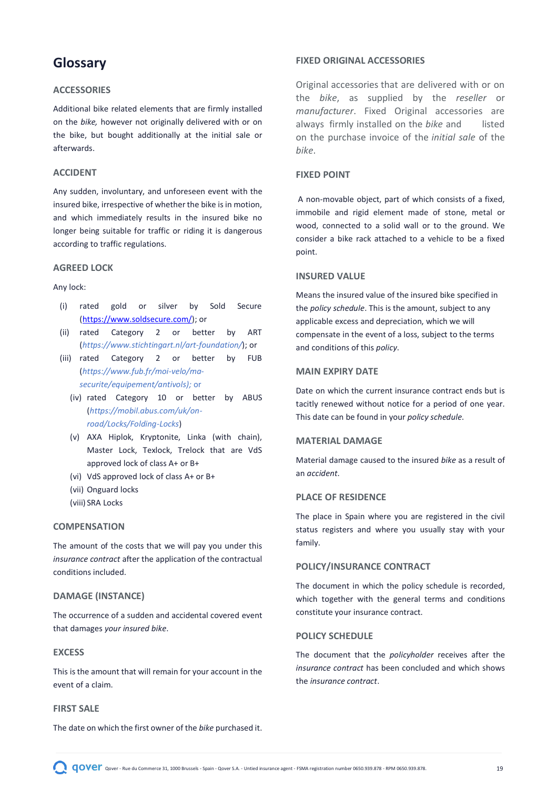# <span id="page-18-0"></span>**Glossary**

# **ACCESSORIES**

Additional bike related elements that are firmly installed on the *bike,* however not originally delivered with or on the bike, but bought additionally at the initial sale or afterwards.

# **ACCIDENT**

Any sudden, involuntary, and unforeseen event with the insured bike, irrespective of whether the bike is in motion, and which immediately results in the insured bike no longer being suitable for traffic or riding it is dangerous according to traffic regulations.

#### **AGREED LOCK**

#### Any lock:

- (i) rated gold or silver by Sold Secure [\(https://www.soldsecure.com/\)](https://www.soldsecure.com/); or
- (ii) rated Category 2 or better by ART (*<https://www.stichtingart.nl/art-foundation/>*); or
- (iii) rated Category 2 or better by FUB (*[https://www.fub.fr/moi-velo/ma](https://www.fub.fr/moi-velo/ma-securite/equipement/antivols)[securite/equipement/antivols\)](https://www.fub.fr/moi-velo/ma-securite/equipement/antivols);* or
	- (iv) rated Category 10 or better by ABUS (*[https://mobil.abus.com/uk/on](https://mobil.abus.com/uk/on-road/Locks/Folding-Locks)[road/Locks/Folding-Locks](https://mobil.abus.com/uk/on-road/Locks/Folding-Locks)*)
	- (v) AXA Hiplok, Kryptonite, Linka (with chain), Master Lock, Texlock, Trelock that are VdS approved lock of class A+ or B+
	- (vi) VdS approved lock of class A+ or B+
	- (vii) Onguard locks
	- (viii) SRA Locks

#### **COMPENSATION**

The amount of the costs that we will pay you under this *insurance contract* after the application of the contractual conditions included.

### **DAMAGE (INSTANCE)**

The occurrence of a sudden and accidental covered event that damages *your insured bike*.

#### **EXCESS**

This is the amount that will remain for your account in the event of a claim.

### **FIRST SALE**

The date on which the first owner of the *bike* purchased it.

### **FIXED ORIGINAL ACCESSORIES**

Original accessories that are delivered with or on the *bike*, as supplied by the *reseller* or *manufacturer*. Fixed Original accessories are always firmly installed on the *bike* and listed on the purchase invoice of the *initial sale* of the *bike*.

# **FIXED POINT**

A non-movable object, part of which consists of a fixed, immobile and rigid element made of stone, metal or wood, connected to a solid wall or to the ground. We consider a bike rack attached to a vehicle to be a fixed point.

#### **INSURED VALUE**

Means the insured value of the insured bike specified in the *policy schedule*. This is the amount, subject to any applicable excess and depreciation, which we will compensate in the event of a loss, subject to the terms and conditions of this *policy*.

#### **MAIN EXPIRY DATE**

Date on which the current insurance contract ends but is tacitly renewed without notice for a period of one year. This date can be found in your *policy schedule*.

#### **MATERIAL DAMAGE**

Material damage caused to the insured *bike* as a result of an *accident*.

# **PLACE OF RESIDENCE**

The place in Spain where you are registered in the civil status registers and where you usually stay with your family.

#### **POLICY/INSURANCE CONTRACT**

The document in which the policy schedule is recorded, which together with the general terms and conditions constitute your insurance contract.

#### **POLICY SCHEDULE**

The document that the *policyholder* receives after the *insurance contract* has been concluded and which shows the *insurance contract*.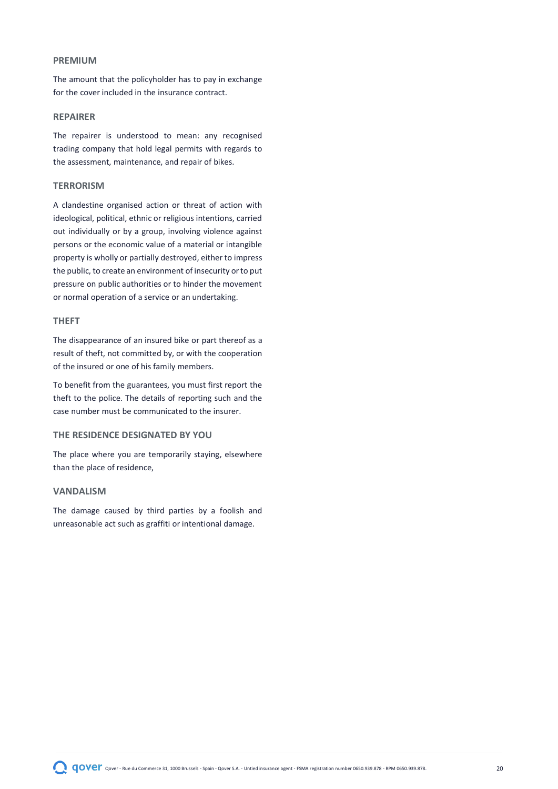#### **PREMIUM**

The amount that the policyholder has to pay in exchange for the cover included in the insurance contract.

#### **REPAIRER**

The repairer is understood to mean: any recognised trading company that hold legal permits with regards to the assessment, maintenance, and repair of bikes.

#### **TERRORISM**

A clandestine organised action or threat of action with ideological, political, ethnic or religious intentions, carried out individually or by a group, involving violence against persons or the economic value of a material or intangible property is wholly or partially destroyed, either to impress the public, to create an environment of insecurity or to put pressure on public authorities or to hinder the movement or normal operation of a service or an undertaking.

#### **THEFT**

The disappearance of an insured bike or part thereof as a result of theft, not committed by, or with the cooperation of the insured or one of his family members.

To benefit from the guarantees, you must first report the theft to the police. The details of reporting such and the case number must be communicated to the insurer.

## **THE RESIDENCE DESIGNATED BY YOU**

The place where you are temporarily staying, elsewhere than the place of residence,

#### **VANDALISM**

The damage caused by third parties by a foolish and unreasonable act such as graffiti or intentional damage.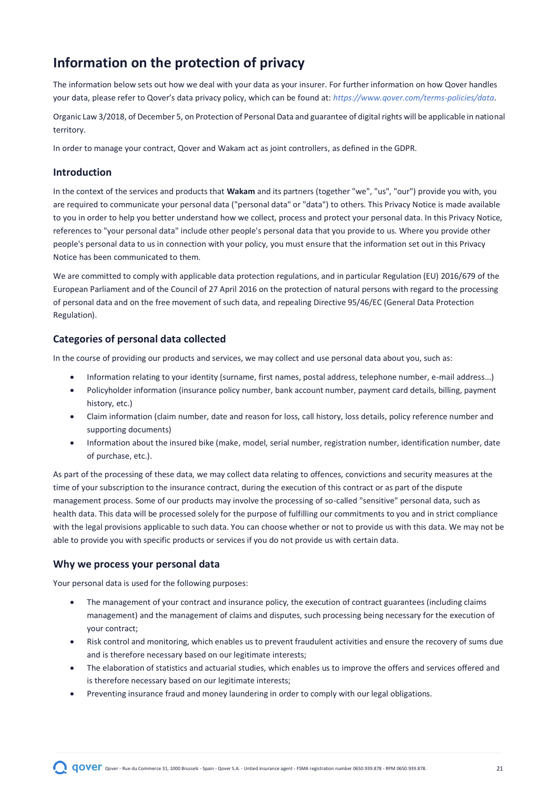# <span id="page-20-0"></span>**Information on the protection of privacy**

The information below sets out how we deal with your data as your insurer. For further information on how Qover handles your data, please refer to Qover's data privacy policy, which can be found at: *<https://www.qover.com/terms-policies/data>*.

Organic Law 3/2018, of December 5, on Protection of Personal Data and guarantee of digital rights will be applicable in national territory.

In order to manage your contract, Qover and Wakam act as joint controllers, as defined in the GDPR.

### **Introduction**

In the context of the services and products that **Wakam** and its partners (together "we", "us", "our") provide you with, you are required to communicate your personal data ("personal data" or "data") to others. This Privacy Notice is made available to you in order to help you better understand how we collect, process and protect your personal data. In this Privacy Notice, references to "your personal data" include other people's personal data that you provide to us. Where you provide other people's personal data to us in connection with your policy, you must ensure that the information set out in this Privacy Notice has been communicated to them.

We are committed to comply with applicable data protection regulations, and in particular Regulation (EU) 2016/679 of the European Parliament and of the Council of 27 April 2016 on the protection of natural persons with regard to the processing of personal data and on the free movement of such data, and repealing Directive 95/46/EC (General Data Protection Regulation).

# **Categories of personal data collected**

In the course of providing our products and services, we may collect and use personal data about you, such as:

- Information relating to your identity (surname, first names, postal address, telephone number, e-mail address...)
- Policyholder information (insurance policy number, bank account number, payment card details, billing, payment history, etc.)
- Claim information (claim number, date and reason for loss, call history, loss details, policy reference number and supporting documents)
- Information about the insured bike (make, model, serial number, registration number, identification number, date of purchase, etc.).

As part of the processing of these data, we may collect data relating to offences, convictions and security measures at the time of your subscription to the insurance contract, during the execution of this contract or as part of the dispute management process. Some of our products may involve the processing of so-called "sensitive" personal data, such as health data. This data will be processed solely for the purpose of fulfilling our commitments to you and in strict compliance with the legal provisions applicable to such data. You can choose whether or not to provide us with this data. We may not be able to provide you with specific products or services if you do not provide us with certain data.

#### **Why we process your personal data**

Your personal data is used for the following purposes:

- The management of your contract and insurance policy, the execution of contract guarantees (including claims management) and the management of claims and disputes, such processing being necessary for the execution of your contract;
- Risk control and monitoring, which enables us to prevent fraudulent activities and ensure the recovery of sums due and is therefore necessary based on our legitimate interests;
- The elaboration of statistics and actuarial studies, which enables us to improve the offers and services offered and is therefore necessary based on our legitimate interests;
- Preventing insurance fraud and money laundering in order to comply with our legal obligations.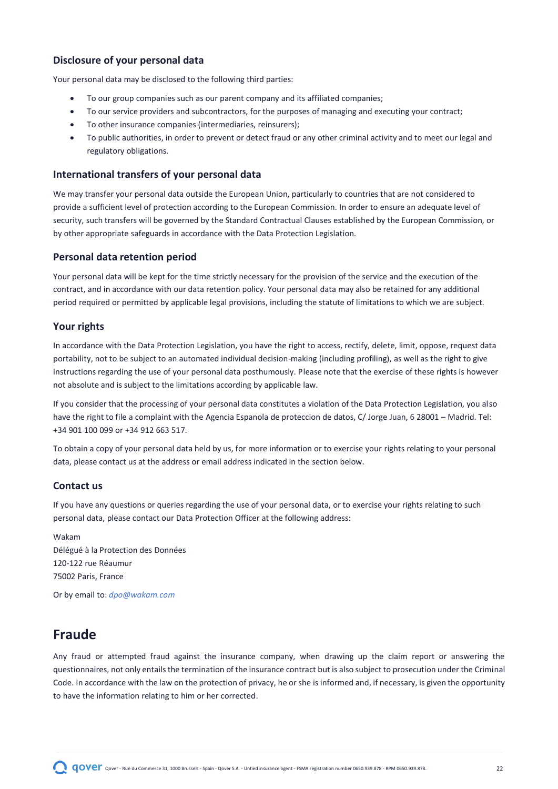# **Disclosure of your personal data**

Your personal data may be disclosed to the following third parties:

- To our group companies such as our parent company and its affiliated companies;
- To our service providers and subcontractors, for the purposes of managing and executing your contract;
- To other insurance companies (intermediaries, reinsurers);
- To public authorities, in order to prevent or detect fraud or any other criminal activity and to meet our legal and regulatory obligations.

### **International transfers of your personal data**

We may transfer your personal data outside the European Union, particularly to countries that are not considered to provide a sufficient level of protection according to the European Commission. In order to ensure an adequate level of security, such transfers will be governed by the Standard Contractual Clauses established by the European Commission, or by other appropriate safeguards in accordance with the Data Protection Legislation.

#### **Personal data retention period**

Your personal data will be kept for the time strictly necessary for the provision of the service and the execution of the contract, and in accordance with our data retention policy. Your personal data may also be retained for any additional period required or permitted by applicable legal provisions, including the statute of limitations to which we are subject.

### **Your rights**

In accordance with the Data Protection Legislation, you have the right to access, rectify, delete, limit, oppose, request data portability, not to be subject to an automated individual decision-making (including profiling), as well as the right to give instructions regarding the use of your personal data posthumously. Please note that the exercise of these rights is however not absolute and is subject to the limitations according by applicable law.

If you consider that the processing of your personal data constitutes a violation of the Data Protection Legislation, you also have the right to file a complaint with the Agencia Espanola de proteccion de datos, C/ Jorge Juan, 6 28001 – Madrid. Tel: +34 901 100 099 or +34 912 663 517.

To obtain a copy of your personal data held by us, for more information or to exercise your rights relating to your personal data, please contact us at the address or email address indicated in the section below.

### **Contact us**

If you have any questions or queries regarding the use of your personal data, or to exercise your rights relating to such personal data, please contact our Data Protection Officer at the following address:

Wakam Délégué à la Protection des Données 120-122 rue Réaumur 75002 Paris, France

Or by email to: *[dpo@wakam.com](mailto:dpo@wakam.com)*

# <span id="page-21-0"></span>**Fraude**

Any fraud or attempted fraud against the insurance company, when drawing up the claim report or answering the questionnaires, not only entails the termination of the insurance contract but is also subject to prosecution under the Criminal Code. In accordance with the law on the protection of privacy, he or she is informed and, if necessary, is given the opportunity to have the information relating to him or her corrected.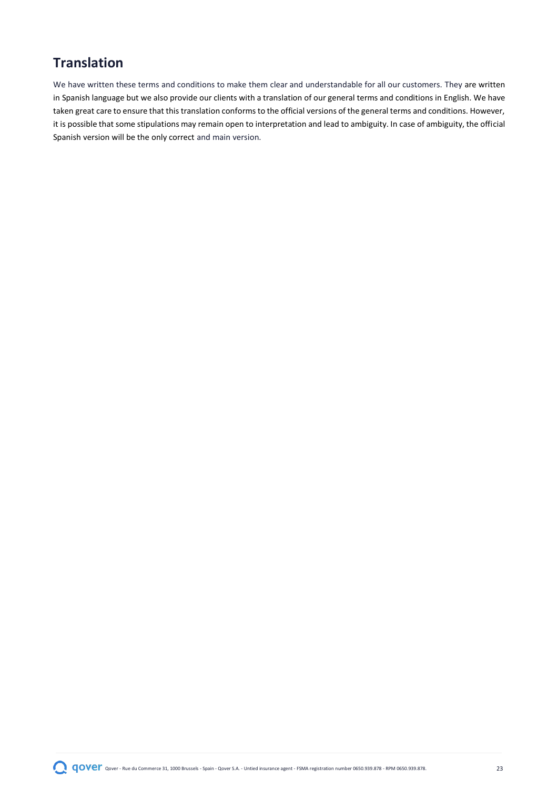# <span id="page-22-0"></span>**Translation**

We have written these terms and conditions to make them clear and understandable for all our customers. They are written in Spanish language but we also provide our clients with a translation of our general terms and conditions in English. We have taken great care to ensure that this translation conforms to the official versions of the general terms and conditions. However, it is possible that some stipulations may remain open to interpretation and lead to ambiguity. In case of ambiguity, the official Spanish version will be the only correct and main version.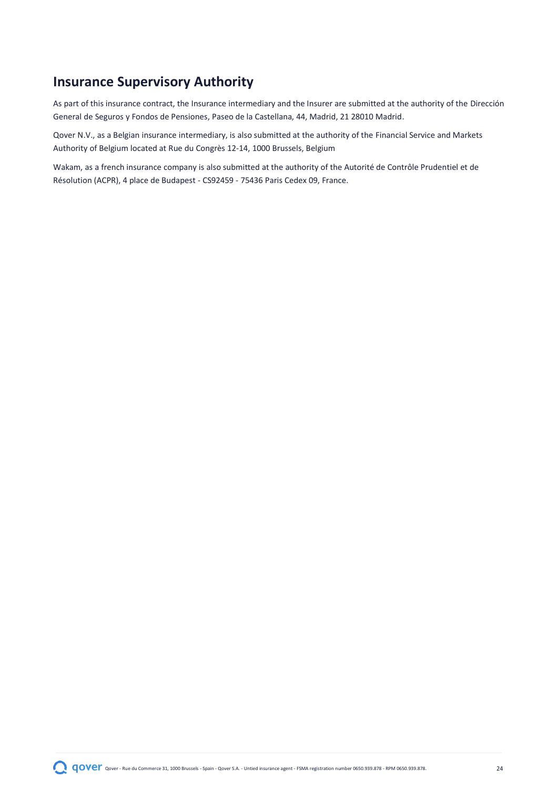# <span id="page-23-0"></span>**Insurance Supervisory Authority**

As part of this insurance contract, the Insurance intermediary and the Insurer are submitted at the authority of the Dirección General de Seguros y Fondos de Pensiones, Paseo de la Castellana, 44, Madrid, 21 28010 Madrid.

Qover N.V., as a Belgian insurance intermediary, is also submitted at the authority of the Financial Service and Markets Authority of Belgium located at Rue du Congrès 12-14, 1000 Brussels, Belgium

Wakam, as a french insurance company is also submitted at the authority of the Autorité de Contrôle Prudentiel et de Résolution (ACPR), 4 place de Budapest - CS92459 - 75436 Paris Cedex 09, France.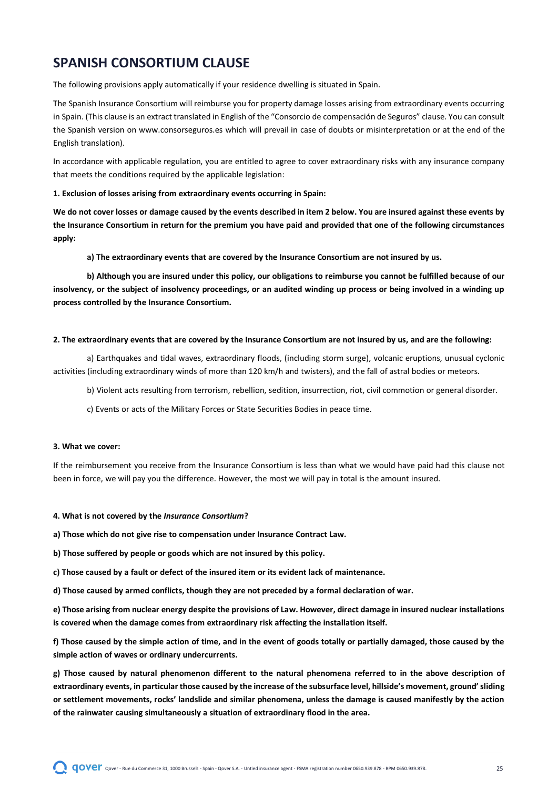# <span id="page-24-0"></span>**SPANISH CONSORTIUM CLAUSE**

The following provisions apply automatically if your residence dwelling is situated in Spain.

The Spanish Insurance Consortium will reimburse you for property damage losses arising from extraordinary events occurring in Spain. (This clause is an extract translated in English of the "Consorcio de compensación de Seguros" clause. You can consult the Spanish version on [www.consorseguros.es](http://www.consorseguros.es/) which will prevail in case of doubts or misinterpretation or at the end of the English translation).

In accordance with applicable regulation, you are entitled to agree to cover extraordinary risks with any insurance company that meets the conditions required by the applicable legislation:

#### **1. Exclusion of losses arising from extraordinary events occurring in Spain:**

**We do not cover losses or damage caused by the events described in item 2 below. You are insured against these events by the Insurance Consortium in return for the premium you have paid and provided that one of the following circumstances apply:**

**a) The extraordinary events that are covered by the Insurance Consortium are not insured by us.** 

**b) Although you are insured under this policy, our obligations to reimburse you cannot be fulfilled because of our insolvency, or the subject of insolvency proceedings, or an audited winding up process or being involved in a winding up process controlled by the Insurance Consortium.** 

#### **2. The extraordinary events that are covered by the Insurance Consortium are not insured by us, and are the following:**

a) Earthquakes and tidal waves, extraordinary floods, (including storm surge), volcanic eruptions, unusual cyclonic activities (including extraordinary winds of more than 120 km/h and twisters), and the fall of astral bodies or meteors.

b) Violent acts resulting from terrorism, rebellion, sedition, insurrection, riot, civil commotion or general disorder.

c) Events or acts of the Military Forces or State Securities Bodies in peace time.

#### **3. What we cover:**

If the reimbursement you receive from the Insurance Consortium is less than what we would have paid had this clause not been in force, we will pay you the difference. However, the most we will pay in total is the amount insured.

#### **4. What is not covered by the** *Insurance Consortium***?**

**a) Those which do not give rise to compensation under Insurance Contract Law.** 

- **b) Those suffered by people or goods which are not insured by this policy.**
- **c) Those caused by a fault or defect of the insured item or its evident lack of maintenance.**

**d) Those caused by armed conflicts, though they are not preceded by a formal declaration of war.** 

**e) Those arising from nuclear energy despite the provisions of Law. However, direct damage in insured nuclear installations is covered when the damage comes from extraordinary risk affecting the installation itself.**

**f) Those caused by the simple action of time, and in the event of goods totally or partially damaged, those caused by the simple action of waves or ordinary undercurrents.** 

**g) Those caused by natural phenomenon different to the natural phenomena referred to in the above description of extraordinary events, in particular those caused by the increase of the subsurface level, hillside's movement, ground' sliding or settlement movements, rocks' landslide and similar phenomena, unless the damage is caused manifestly by the action of the rainwater causing simultaneously a situation of extraordinary flood in the area.**